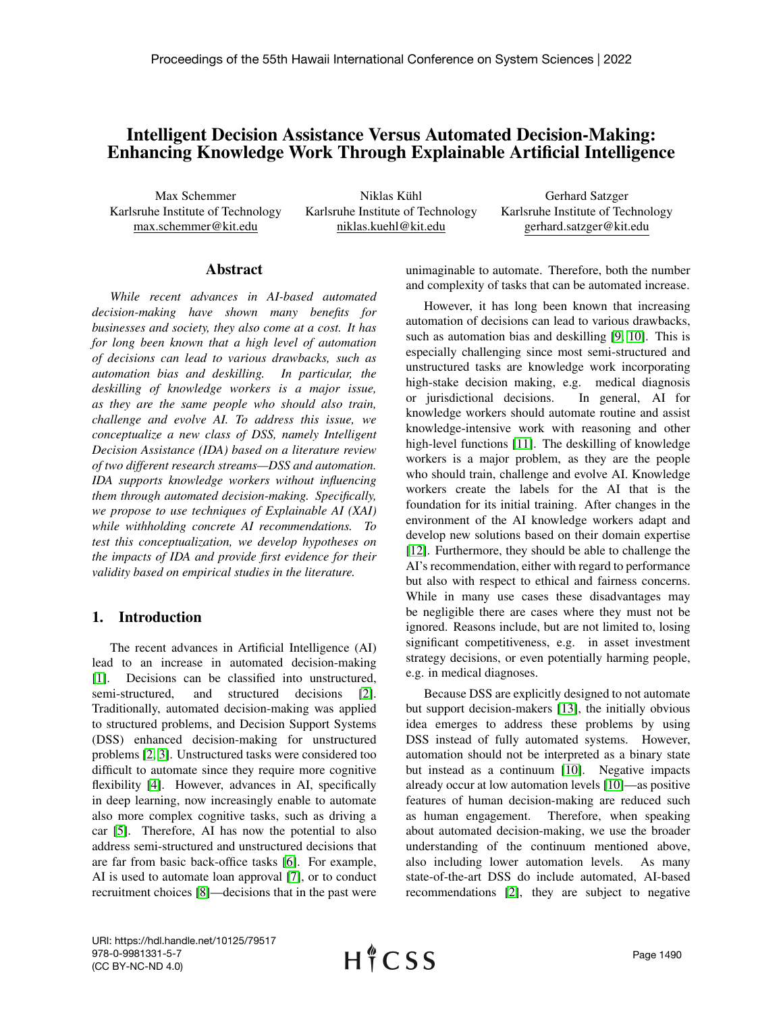# Intelligent Decision Assistance Versus Automated Decision-Making: Enhancing Knowledge Work Through Explainable Artificial Intelligence

Max Schemmer Karlsruhe Institute of Technology max.schemmer@kit.edu

Niklas Kühl Karlsruhe Institute of Technology niklas.kuehl@kit.edu

Gerhard Satzger Karlsruhe Institute of Technology gerhard.satzger@kit.edu

#### Abstract

*While recent advances in AI-based automated decision-making have shown many benefits for businesses and society, they also come at a cost. It has for long been known that a high level of automation of decisions can lead to various drawbacks, such as automation bias and deskilling. In particular, the deskilling of knowledge workers is a major issue, as they are the same people who should also train, challenge and evolve AI. To address this issue, we conceptualize a new class of DSS, namely Intelligent Decision Assistance (IDA) based on a literature review of two different research streams—DSS and automation. IDA supports knowledge workers without influencing them through automated decision-making. Specifically, we propose to use techniques of Explainable AI (XAI) while withholding concrete AI recommendations. To test this conceptualization, we develop hypotheses on the impacts of IDA and provide first evidence for their validity based on empirical studies in the literature.*

### 1. Introduction

The recent advances in Artificial Intelligence (AI) lead to an increase in automated decision-making [\[1\]](#page-7-0). Decisions can be classified into unstructured, semi-structured, and structured decisions [\[2\]](#page-7-1). Traditionally, automated decision-making was applied to structured problems, and Decision Support Systems (DSS) enhanced decision-making for unstructured problems [\[2,](#page-7-1) [3\]](#page-7-2). Unstructured tasks were considered too difficult to automate since they require more cognitive flexibility [\[4\]](#page-7-3). However, advances in AI, specifically in deep learning, now increasingly enable to automate also more complex cognitive tasks, such as driving a car [\[5\]](#page-7-4). Therefore, AI has now the potential to also address semi-structured and unstructured decisions that are far from basic back-office tasks [\[6\]](#page-7-5). For example, AI is used to automate loan approval [\[7\]](#page-7-6), or to conduct recruitment choices [\[8\]](#page-7-7)—decisions that in the past were unimaginable to automate. Therefore, both the number and complexity of tasks that can be automated increase.

However, it has long been known that increasing automation of decisions can lead to various drawbacks, such as automation bias and deskilling [\[9,](#page-7-8) [10\]](#page-7-9). This is especially challenging since most semi-structured and unstructured tasks are knowledge work incorporating high-stake decision making, e.g. medical diagnosis or jurisdictional decisions. In general, AI for knowledge workers should automate routine and assist knowledge-intensive work with reasoning and other high-level functions [\[11\]](#page-7-10). The deskilling of knowledge workers is a major problem, as they are the people who should train, challenge and evolve AI. Knowledge workers create the labels for the AI that is the foundation for its initial training. After changes in the environment of the AI knowledge workers adapt and develop new solutions based on their domain expertise [\[12\]](#page-7-11). Furthermore, they should be able to challenge the AI's recommendation, either with regard to performance but also with respect to ethical and fairness concerns. While in many use cases these disadvantages may be negligible there are cases where they must not be ignored. Reasons include, but are not limited to, losing significant competitiveness, e.g. in asset investment strategy decisions, or even potentially harming people, e.g. in medical diagnoses.

Because DSS are explicitly designed to not automate but support decision-makers [\[13\]](#page-7-12), the initially obvious idea emerges to address these problems by using DSS instead of fully automated systems. However, automation should not be interpreted as a binary state but instead as a continuum [\[10\]](#page-7-9). Negative impacts already occur at low automation levels [\[10\]](#page-7-9)—as positive features of human decision-making are reduced such as human engagement. Therefore, when speaking about automated decision-making, we use the broader understanding of the continuum mentioned above, also including lower automation levels. As many state-of-the-art DSS do include automated, AI-based recommendations [\[2\]](#page-7-1), they are subject to negative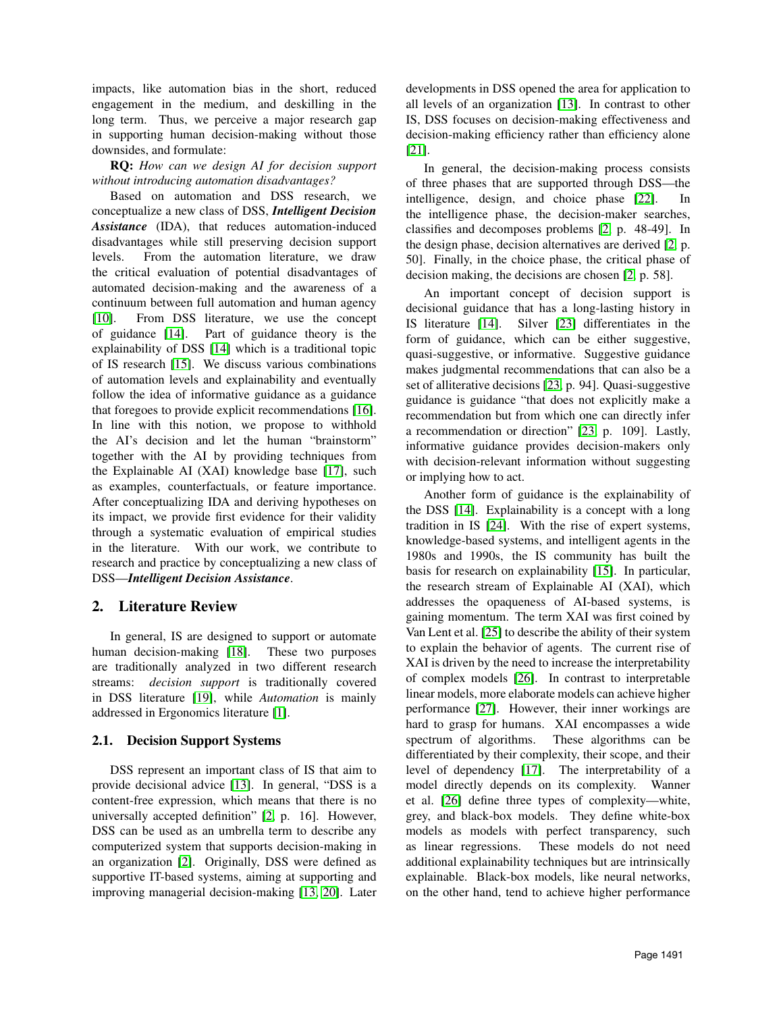impacts, like automation bias in the short, reduced engagement in the medium, and deskilling in the long term. Thus, we perceive a major research gap in supporting human decision-making without those downsides, and formulate:

### RQ: *How can we design AI for decision support without introducing automation disadvantages?*

Based on automation and DSS research, we conceptualize a new class of DSS, *Intelligent Decision Assistance* (IDA), that reduces automation-induced disadvantages while still preserving decision support levels. From the automation literature, we draw the critical evaluation of potential disadvantages of automated decision-making and the awareness of a continuum between full automation and human agency [\[10\]](#page-7-9). From DSS literature, we use the concept of guidance [\[14\]](#page-7-13). Part of guidance theory is the explainability of DSS [\[14\]](#page-7-13) which is a traditional topic of IS research [\[15\]](#page-8-0). We discuss various combinations of automation levels and explainability and eventually follow the idea of informative guidance as a guidance that foregoes to provide explicit recommendations [\[16\]](#page-8-1). In line with this notion, we propose to withhold the AI's decision and let the human "brainstorm" together with the AI by providing techniques from the Explainable AI (XAI) knowledge base [\[17\]](#page-8-2), such as examples, counterfactuals, or feature importance. After conceptualizing IDA and deriving hypotheses on its impact, we provide first evidence for their validity through a systematic evaluation of empirical studies in the literature. With our work, we contribute to research and practice by conceptualizing a new class of DSS—*Intelligent Decision Assistance*.

# 2. Literature Review

In general, IS are designed to support or automate human decision-making [\[18\]](#page-8-3). These two purposes are traditionally analyzed in two different research streams: *decision support* is traditionally covered in DSS literature [\[19\]](#page-8-4), while *Automation* is mainly addressed in Ergonomics literature [\[1\]](#page-7-0).

### 2.1. Decision Support Systems

DSS represent an important class of IS that aim to provide decisional advice [\[13\]](#page-7-12). In general, "DSS is a content-free expression, which means that there is no universally accepted definition" [\[2,](#page-7-1) p. 16]. However, DSS can be used as an umbrella term to describe any computerized system that supports decision-making in an organization [\[2\]](#page-7-1). Originally, DSS were defined as supportive IT-based systems, aiming at supporting and improving managerial decision-making [\[13,](#page-7-12) [20\]](#page-8-5). Later developments in DSS opened the area for application to all levels of an organization [\[13\]](#page-7-12). In contrast to other IS, DSS focuses on decision-making effectiveness and decision-making efficiency rather than efficiency alone [\[21\]](#page-8-6).

In general, the decision-making process consists of three phases that are supported through DSS—the intelligence, design, and choice phase [\[22\]](#page-8-7). In the intelligence phase, the decision-maker searches, classifies and decomposes problems [\[2,](#page-7-1) p. 48-49]. In the design phase, decision alternatives are derived [\[2,](#page-7-1) p. 50]. Finally, in the choice phase, the critical phase of decision making, the decisions are chosen [\[2,](#page-7-1) p. 58].

An important concept of decision support is decisional guidance that has a long-lasting history in IS literature [\[14\]](#page-7-13). Silver [\[23\]](#page-8-8) differentiates in the form of guidance, which can be either suggestive, quasi-suggestive, or informative. Suggestive guidance makes judgmental recommendations that can also be a set of alliterative decisions [\[23,](#page-8-8) p. 94]. Quasi-suggestive guidance is guidance "that does not explicitly make a recommendation but from which one can directly infer a recommendation or direction" [\[23,](#page-8-8) p. 109]. Lastly, informative guidance provides decision-makers only with decision-relevant information without suggesting or implying how to act.

Another form of guidance is the explainability of the DSS [\[14\]](#page-7-13). Explainability is a concept with a long tradition in IS [\[24\]](#page-8-9). With the rise of expert systems, knowledge-based systems, and intelligent agents in the 1980s and 1990s, the IS community has built the basis for research on explainability [\[15\]](#page-8-0). In particular, the research stream of Explainable AI (XAI), which addresses the opaqueness of AI-based systems, is gaining momentum. The term XAI was first coined by Van Lent et al. [\[25\]](#page-8-10) to describe the ability of their system to explain the behavior of agents. The current rise of XAI is driven by the need to increase the interpretability of complex models [\[26\]](#page-8-11). In contrast to interpretable linear models, more elaborate models can achieve higher performance [\[27\]](#page-8-12). However, their inner workings are hard to grasp for humans. XAI encompasses a wide spectrum of algorithms. These algorithms can be differentiated by their complexity, their scope, and their level of dependency [\[17\]](#page-8-2). The interpretability of a model directly depends on its complexity. Wanner et al. [\[26\]](#page-8-11) define three types of complexity—white, grey, and black-box models. They define white-box models as models with perfect transparency, such as linear regressions. These models do not need additional explainability techniques but are intrinsically explainable. Black-box models, like neural networks, on the other hand, tend to achieve higher performance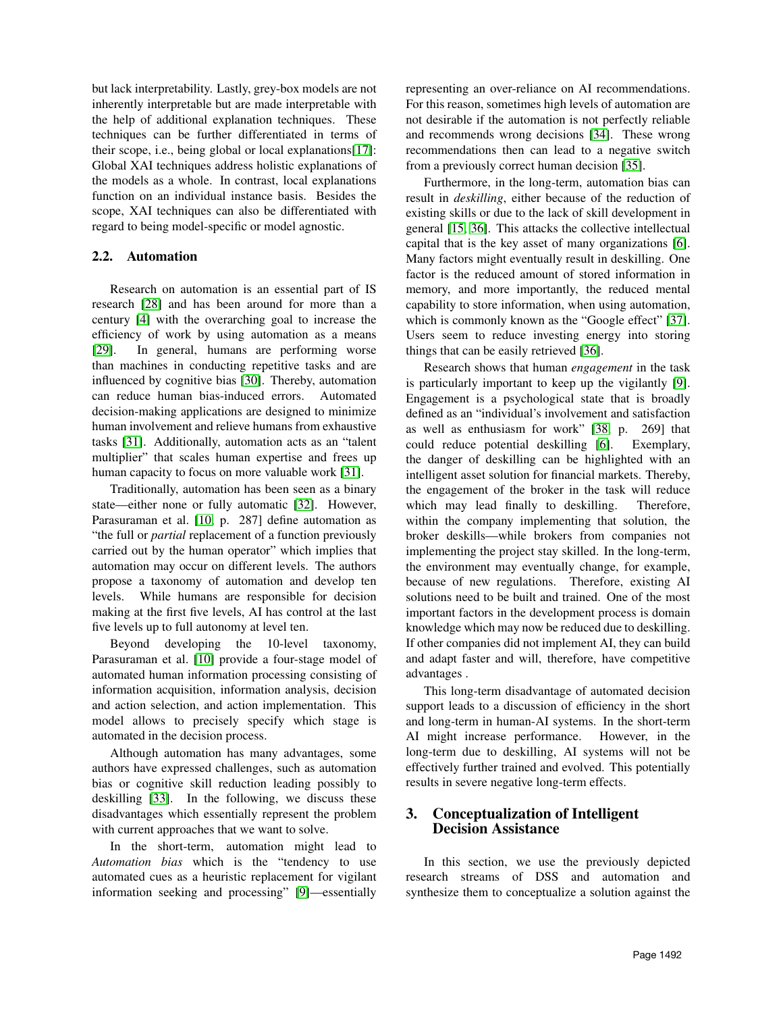but lack interpretability. Lastly, grey-box models are not inherently interpretable but are made interpretable with the help of additional explanation techniques. These techniques can be further differentiated in terms of their scope, i.e., being global or local explanations[\[17\]](#page-8-2): Global XAI techniques address holistic explanations of the models as a whole. In contrast, local explanations function on an individual instance basis. Besides the scope, XAI techniques can also be differentiated with regard to being model-specific or model agnostic.

### 2.2. Automation

Research on automation is an essential part of IS research [\[28\]](#page-8-13) and has been around for more than a century [\[4\]](#page-7-3) with the overarching goal to increase the efficiency of work by using automation as a means [\[29\]](#page-8-14). In general, humans are performing worse than machines in conducting repetitive tasks and are influenced by cognitive bias [\[30\]](#page-8-15). Thereby, automation can reduce human bias-induced errors. Automated decision-making applications are designed to minimize human involvement and relieve humans from exhaustive tasks [\[31\]](#page-8-16). Additionally, automation acts as an "talent multiplier" that scales human expertise and frees up human capacity to focus on more valuable work [\[31\]](#page-8-16).

Traditionally, automation has been seen as a binary state—either none or fully automatic [\[32\]](#page-8-17). However, Parasuraman et al. [\[10,](#page-7-9) p. 287] define automation as "the full or *partial* replacement of a function previously carried out by the human operator" which implies that automation may occur on different levels. The authors propose a taxonomy of automation and develop ten levels. While humans are responsible for decision making at the first five levels, AI has control at the last five levels up to full autonomy at level ten.

Beyond developing the 10-level taxonomy, Parasuraman et al. [\[10\]](#page-7-9) provide a four-stage model of automated human information processing consisting of information acquisition, information analysis, decision and action selection, and action implementation. This model allows to precisely specify which stage is automated in the decision process.

Although automation has many advantages, some authors have expressed challenges, such as automation bias or cognitive skill reduction leading possibly to deskilling [\[33\]](#page-8-18). In the following, we discuss these disadvantages which essentially represent the problem with current approaches that we want to solve.

In the short-term, automation might lead to *Automation bias* which is the "tendency to use automated cues as a heuristic replacement for vigilant information seeking and processing" [\[9\]](#page-7-8)—essentially

representing an over-reliance on AI recommendations. For this reason, sometimes high levels of automation are not desirable if the automation is not perfectly reliable and recommends wrong decisions [\[34\]](#page-8-19). These wrong recommendations then can lead to a negative switch from a previously correct human decision [\[35\]](#page-8-20).

Furthermore, in the long-term, automation bias can result in *deskilling*, either because of the reduction of existing skills or due to the lack of skill development in general [\[15,](#page-8-0) [36\]](#page-8-21). This attacks the collective intellectual capital that is the key asset of many organizations [\[6\]](#page-7-5). Many factors might eventually result in deskilling. One factor is the reduced amount of stored information in memory, and more importantly, the reduced mental capability to store information, when using automation, which is commonly known as the "Google effect" [\[37\]](#page-8-22). Users seem to reduce investing energy into storing things that can be easily retrieved [\[36\]](#page-8-21).

Research shows that human *engagement* in the task is particularly important to keep up the vigilantly [\[9\]](#page-7-8). Engagement is a psychological state that is broadly defined as an "individual's involvement and satisfaction as well as enthusiasm for work" [\[38,](#page-8-23) p. 269] that could reduce potential deskilling [\[6\]](#page-7-5). Exemplary, the danger of deskilling can be highlighted with an intelligent asset solution for financial markets. Thereby, the engagement of the broker in the task will reduce which may lead finally to deskilling. Therefore, within the company implementing that solution, the broker deskills—while brokers from companies not implementing the project stay skilled. In the long-term, the environment may eventually change, for example, because of new regulations. Therefore, existing AI solutions need to be built and trained. One of the most important factors in the development process is domain knowledge which may now be reduced due to deskilling. If other companies did not implement AI, they can build and adapt faster and will, therefore, have competitive advantages .

This long-term disadvantage of automated decision support leads to a discussion of efficiency in the short and long-term in human-AI systems. In the short-term AI might increase performance. However, in the long-term due to deskilling, AI systems will not be effectively further trained and evolved. This potentially results in severe negative long-term effects.

# 3. Conceptualization of Intelligent Decision Assistance

In this section, we use the previously depicted research streams of DSS and automation and synthesize them to conceptualize a solution against the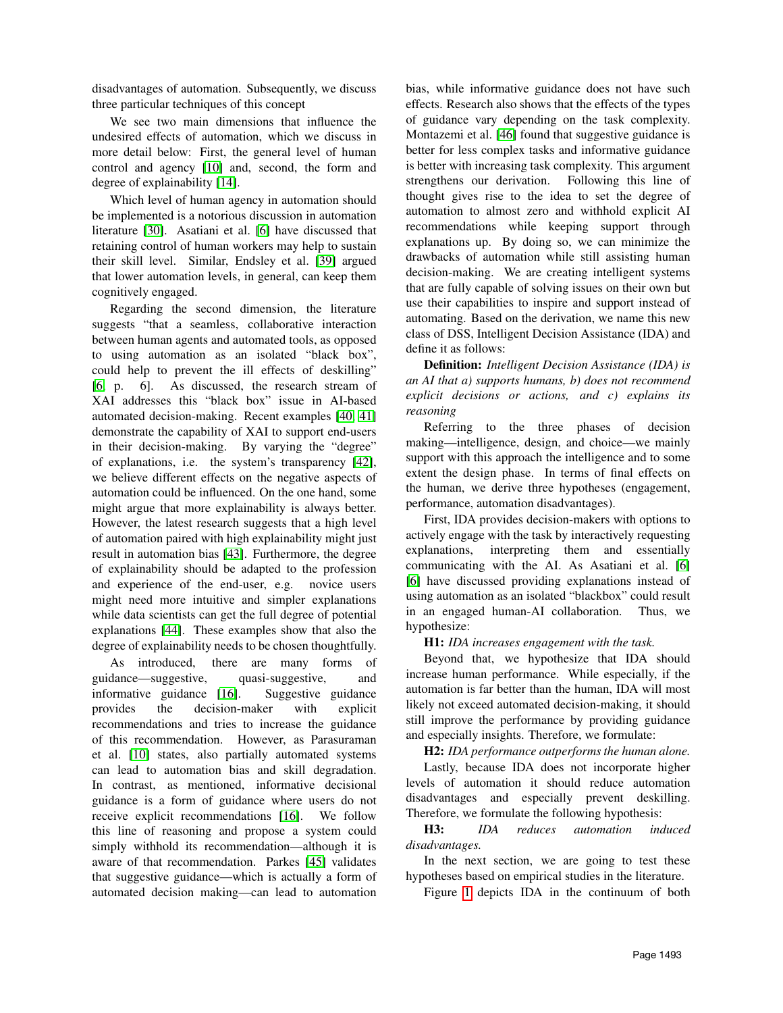disadvantages of automation. Subsequently, we discuss three particular techniques of this concept

We see two main dimensions that influence the undesired effects of automation, which we discuss in more detail below: First, the general level of human control and agency [\[10\]](#page-7-9) and, second, the form and degree of explainability [\[14\]](#page-7-13).

Which level of human agency in automation should be implemented is a notorious discussion in automation literature [\[30\]](#page-8-15). Asatiani et al. [\[6\]](#page-7-5) have discussed that retaining control of human workers may help to sustain their skill level. Similar, Endsley et al. [\[39\]](#page-8-24) argued that lower automation levels, in general, can keep them cognitively engaged.

Regarding the second dimension, the literature suggests "that a seamless, collaborative interaction between human agents and automated tools, as opposed to using automation as an isolated "black box", could help to prevent the ill effects of deskilling" [\[6,](#page-7-5) p. 6]. As discussed, the research stream of XAI addresses this "black box" issue in AI-based automated decision-making. Recent examples [\[40,](#page-8-25) [41\]](#page-9-0) demonstrate the capability of XAI to support end-users in their decision-making. By varying the "degree" of explanations, i.e. the system's transparency [\[42\]](#page-9-1), we believe different effects on the negative aspects of automation could be influenced. On the one hand, some might argue that more explainability is always better. However, the latest research suggests that a high level of automation paired with high explainability might just result in automation bias [\[43\]](#page-9-2). Furthermore, the degree of explainability should be adapted to the profession and experience of the end-user, e.g. novice users might need more intuitive and simpler explanations while data scientists can get the full degree of potential explanations [\[44\]](#page-9-3). These examples show that also the degree of explainability needs to be chosen thoughtfully.

As introduced, there are many forms of guidance—suggestive, quasi-suggestive, and informative guidance [\[16\]](#page-8-1). Suggestive guidance provides the decision-maker with explicit recommendations and tries to increase the guidance of this recommendation. However, as Parasuraman et al. [\[10\]](#page-7-9) states, also partially automated systems can lead to automation bias and skill degradation. In contrast, as mentioned, informative decisional guidance is a form of guidance where users do not receive explicit recommendations [\[16\]](#page-8-1). We follow this line of reasoning and propose a system could simply withhold its recommendation—although it is aware of that recommendation. Parkes [\[45\]](#page-9-4) validates that suggestive guidance—which is actually a form of automated decision making—can lead to automation

bias, while informative guidance does not have such effects. Research also shows that the effects of the types of guidance vary depending on the task complexity. Montazemi et al. [\[46\]](#page-9-5) found that suggestive guidance is better for less complex tasks and informative guidance is better with increasing task complexity. This argument strengthens our derivation. Following this line of thought gives rise to the idea to set the degree of automation to almost zero and withhold explicit AI recommendations while keeping support through explanations up. By doing so, we can minimize the drawbacks of automation while still assisting human decision-making. We are creating intelligent systems that are fully capable of solving issues on their own but use their capabilities to inspire and support instead of automating. Based on the derivation, we name this new class of DSS, Intelligent Decision Assistance (IDA) and define it as follows:

Definition: *Intelligent Decision Assistance (IDA) is an AI that a) supports humans, b) does not recommend explicit decisions or actions, and c) explains its reasoning*

Referring to the three phases of decision making—intelligence, design, and choice—we mainly support with this approach the intelligence and to some extent the design phase. In terms of final effects on the human, we derive three hypotheses (engagement, performance, automation disadvantages).

First, IDA provides decision-makers with options to actively engage with the task by interactively requesting explanations, interpreting them and essentially communicating with the AI. As Asatiani et al. [\[6\]](#page-7-5) [\[6\]](#page-7-5) have discussed providing explanations instead of using automation as an isolated "blackbox" could result in an engaged human-AI collaboration. Thus, we hypothesize:

#### H1: *IDA increases engagement with the task.*

Beyond that, we hypothesize that IDA should increase human performance. While especially, if the automation is far better than the human, IDA will most likely not exceed automated decision-making, it should still improve the performance by providing guidance and especially insights. Therefore, we formulate:

H2: *IDA performance outperforms the human alone.*

Lastly, because IDA does not incorporate higher levels of automation it should reduce automation disadvantages and especially prevent deskilling. Therefore, we formulate the following hypothesis:

H3: *IDA reduces automation induced disadvantages.*

In the next section, we are going to test these hypotheses based on empirical studies in the literature.

Figure [1](#page-4-0) depicts IDA in the continuum of both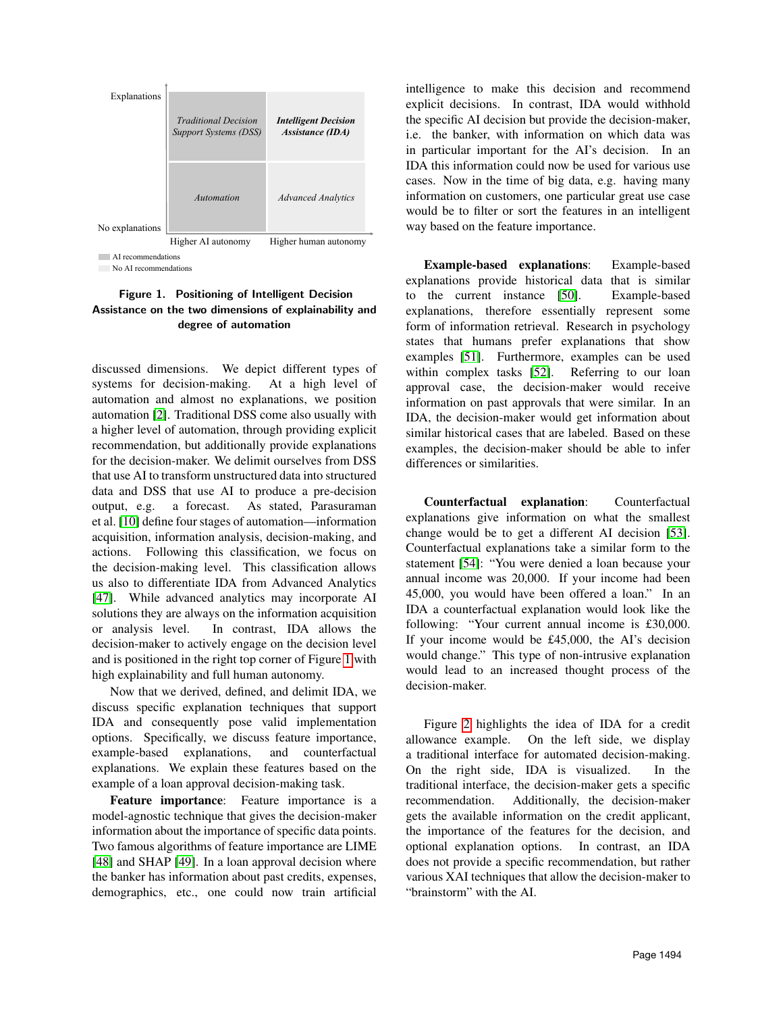

<span id="page-4-0"></span>No AI recommendations

### Figure 1. Positioning of Intelligent Decision Assistance on the two dimensions of explainability and degree of automation

discussed dimensions. We depict different types of systems for decision-making. At a high level of automation and almost no explanations, we position automation [\[2\]](#page-7-1). Traditional DSS come also usually with a higher level of automation, through providing explicit recommendation, but additionally provide explanations for the decision-maker. We delimit ourselves from DSS that use AI to transform unstructured data into structured data and DSS that use AI to produce a pre-decision output, e.g. a forecast. As stated, Parasuraman et al. [\[10\]](#page-7-9) define four stages of automation—information acquisition, information analysis, decision-making, and actions. Following this classification, we focus on the decision-making level. This classification allows us also to differentiate IDA from Advanced Analytics [\[47\]](#page-9-6). While advanced analytics may incorporate AI solutions they are always on the information acquisition or analysis level. In contrast, IDA allows the decision-maker to actively engage on the decision level and is positioned in the right top corner of Figure [1](#page-4-0) with high explainability and full human autonomy.

Now that we derived, defined, and delimit IDA, we discuss specific explanation techniques that support IDA and consequently pose valid implementation options. Specifically, we discuss feature importance, example-based explanations, and counterfactual explanations. We explain these features based on the example of a loan approval decision-making task.

Feature importance: Feature importance is a model-agnostic technique that gives the decision-maker information about the importance of specific data points. Two famous algorithms of feature importance are LIME [\[48\]](#page-9-7) and SHAP [\[49\]](#page-9-8). In a loan approval decision where the banker has information about past credits, expenses, demographics, etc., one could now train artificial intelligence to make this decision and recommend explicit decisions. In contrast, IDA would withhold the specific AI decision but provide the decision-maker, i.e. the banker, with information on which data was in particular important for the AI's decision. In an IDA this information could now be used for various use cases. Now in the time of big data, e.g. having many information on customers, one particular great use case would be to filter or sort the features in an intelligent way based on the feature importance.

Example-based explanations: Example-based explanations provide historical data that is similar to the current instance [\[50\]](#page-9-9). Example-based explanations, therefore essentially represent some form of information retrieval. Research in psychology states that humans prefer explanations that show examples [\[51\]](#page-9-10). Furthermore, examples can be used within complex tasks [\[52\]](#page-9-11). Referring to our loan approval case, the decision-maker would receive information on past approvals that were similar. In an IDA, the decision-maker would get information about similar historical cases that are labeled. Based on these examples, the decision-maker should be able to infer differences or similarities.

Counterfactual explanation: Counterfactual explanations give information on what the smallest change would be to get a different AI decision [\[53\]](#page-9-12). Counterfactual explanations take a similar form to the statement [\[54\]](#page-9-13): "You were denied a loan because your annual income was 20,000. If your income had been 45,000, you would have been offered a loan." In an IDA a counterfactual explanation would look like the following: "Your current annual income is £30,000. If your income would be £45,000, the AI's decision would change." This type of non-intrusive explanation would lead to an increased thought process of the decision-maker.

Figure [2](#page-5-0) highlights the idea of IDA for a credit allowance example. On the left side, we display a traditional interface for automated decision-making. On the right side, IDA is visualized. In the traditional interface, the decision-maker gets a specific recommendation. Additionally, the decision-maker gets the available information on the credit applicant, the importance of the features for the decision, and optional explanation options. In contrast, an IDA does not provide a specific recommendation, but rather various XAI techniques that allow the decision-maker to "brainstorm" with the AI.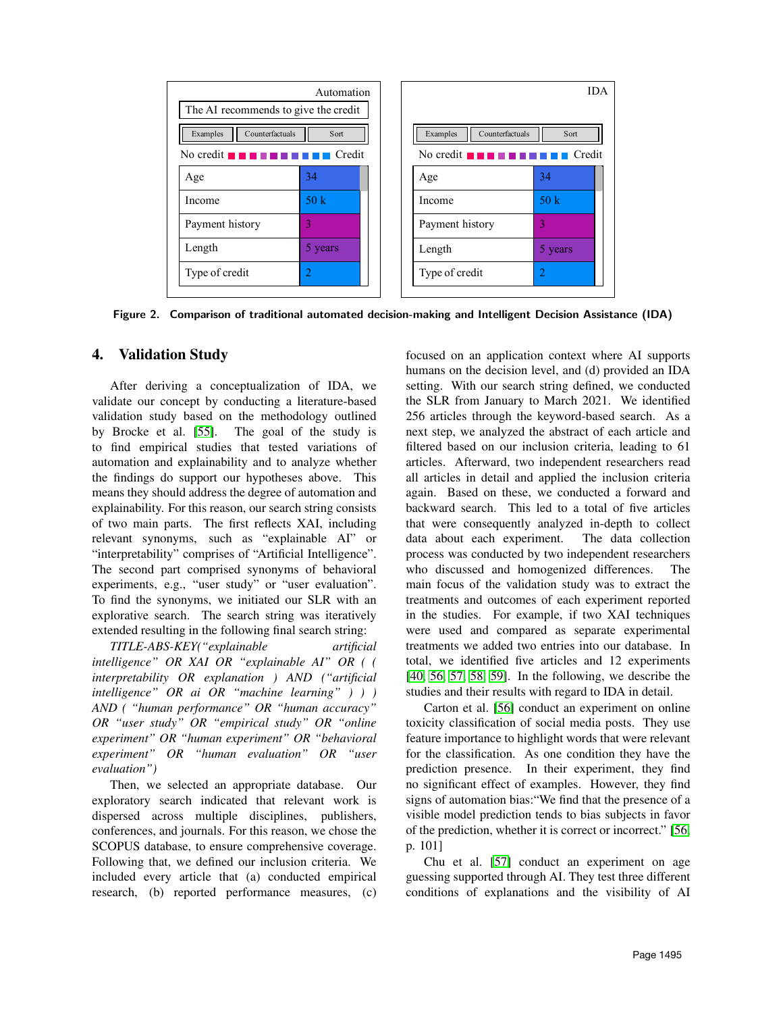

<span id="page-5-0"></span>Figure 2. Comparison of traditional automated decision-making and Intelligent Decision Assistance (IDA)

### 4. Validation Study

After deriving a conceptualization of IDA, we validate our concept by conducting a literature-based validation study based on the methodology outlined by Brocke et al. [\[55\]](#page-9-14). The goal of the study is to find empirical studies that tested variations of automation and explainability and to analyze whether the findings do support our hypotheses above. This means they should address the degree of automation and explainability. For this reason, our search string consists of two main parts. The first reflects XAI, including relevant synonyms, such as "explainable AI" or "interpretability" comprises of "Artificial Intelligence". The second part comprised synonyms of behavioral experiments, e.g., "user study" or "user evaluation". To find the synonyms, we initiated our SLR with an explorative search. The search string was iteratively extended resulting in the following final search string:

*TITLE-ABS-KEY("explainable artificial intelligence" OR XAI OR "explainable AI" OR ( ( interpretability OR explanation ) AND ("artificial intelligence" OR ai OR "machine learning" ) ) ) AND ( "human performance" OR "human accuracy" OR "user study" OR "empirical study" OR "online experiment" OR "human experiment" OR "behavioral experiment" OR "human evaluation" OR "user evaluation")*

Then, we selected an appropriate database. Our exploratory search indicated that relevant work is dispersed across multiple disciplines, publishers, conferences, and journals. For this reason, we chose the SCOPUS database, to ensure comprehensive coverage. Following that, we defined our inclusion criteria. We included every article that (a) conducted empirical research, (b) reported performance measures, (c) focused on an application context where AI supports humans on the decision level, and (d) provided an IDA setting. With our search string defined, we conducted the SLR from January to March 2021. We identified 256 articles through the keyword-based search. As a next step, we analyzed the abstract of each article and filtered based on our inclusion criteria, leading to 61 articles. Afterward, two independent researchers read all articles in detail and applied the inclusion criteria again. Based on these, we conducted a forward and backward search. This led to a total of five articles that were consequently analyzed in-depth to collect data about each experiment. The data collection process was conducted by two independent researchers who discussed and homogenized differences. The main focus of the validation study was to extract the treatments and outcomes of each experiment reported in the studies. For example, if two XAI techniques were used and compared as separate experimental treatments we added two entries into our database. In total, we identified five articles and 12 experiments [\[40,](#page-8-25) [56,](#page-9-15) [57,](#page-9-16) [58,](#page-9-17) [59\]](#page-9-18). In the following, we describe the studies and their results with regard to IDA in detail.

Carton et al. [\[56\]](#page-9-15) conduct an experiment on online toxicity classification of social media posts. They use feature importance to highlight words that were relevant for the classification. As one condition they have the prediction presence. In their experiment, they find no significant effect of examples. However, they find signs of automation bias:"We find that the presence of a visible model prediction tends to bias subjects in favor of the prediction, whether it is correct or incorrect." [\[56,](#page-9-15) p. 101]

Chu et al. [\[57\]](#page-9-16) conduct an experiment on age guessing supported through AI. They test three different conditions of explanations and the visibility of AI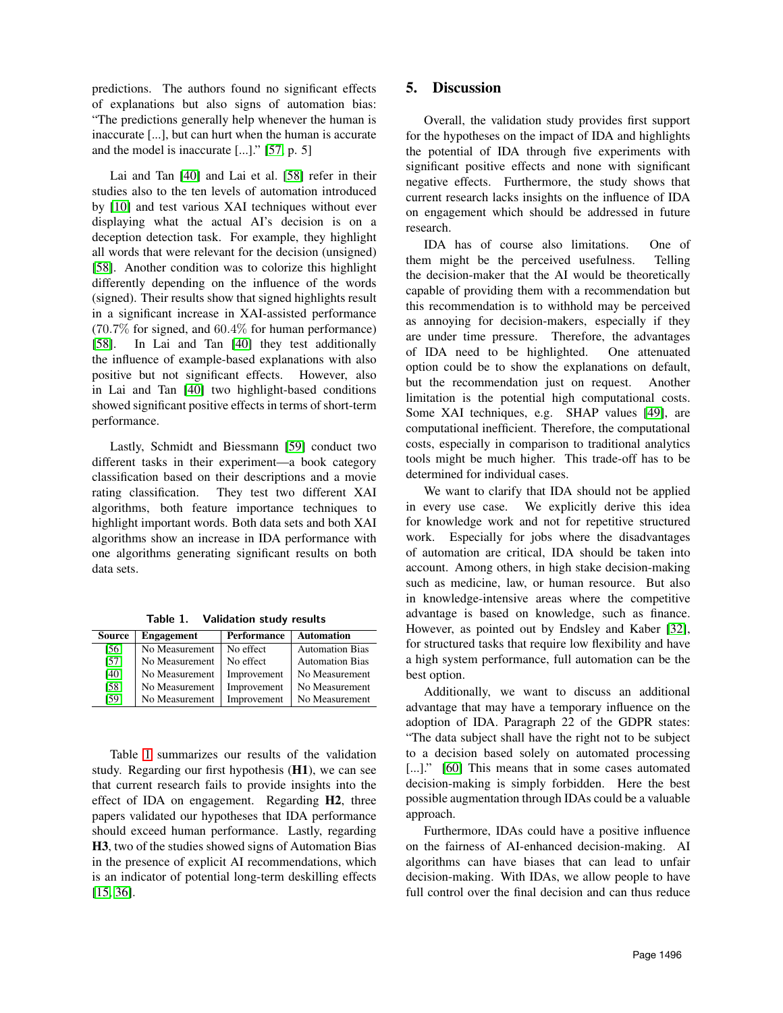predictions. The authors found no significant effects of explanations but also signs of automation bias: "The predictions generally help whenever the human is inaccurate [...], but can hurt when the human is accurate and the model is inaccurate [...]." [\[57,](#page-9-16) p. 5]

Lai and Tan [\[40\]](#page-8-25) and Lai et al. [\[58\]](#page-9-17) refer in their studies also to the ten levels of automation introduced by [\[10\]](#page-7-9) and test various XAI techniques without ever displaying what the actual AI's decision is on a deception detection task. For example, they highlight all words that were relevant for the decision (unsigned) [\[58\]](#page-9-17). Another condition was to colorize this highlight differently depending on the influence of the words (signed). Their results show that signed highlights result in a significant increase in XAI-assisted performance (70.7% for signed, and 60.4% for human performance) [\[58\]](#page-9-17). In Lai and Tan [\[40\]](#page-8-25) they test additionally the influence of example-based explanations with also positive but not significant effects. However, also in Lai and Tan [\[40\]](#page-8-25) two highlight-based conditions showed significant positive effects in terms of short-term performance.

Lastly, Schmidt and Biessmann [\[59\]](#page-9-18) conduct two different tasks in their experiment—a book category classification based on their descriptions and a movie rating classification. They test two different XAI algorithms, both feature importance techniques to highlight important words. Both data sets and both XAI algorithms show an increase in IDA performance with one algorithms generating significant results on both data sets.

| Source | <b>Engagement</b> | <b>Performance</b> | <b>Automation</b>      |
|--------|-------------------|--------------------|------------------------|
| [56]   | No Measurement    | No effect          | <b>Automation Bias</b> |
| [57]   | No Measurement    | No effect          | <b>Automation Bias</b> |
| [40]   | No Measurement    | Improvement        | No Measurement         |
| [58]   | No Measurement    | Improvement        | No Measurement         |
| [59]   | No Measurement    | Improvement        | No Measurement         |

<span id="page-6-0"></span>Table 1. Validation study results

Table [1](#page-6-0) summarizes our results of the validation study. Regarding our first hypothesis (H1), we can see that current research fails to provide insights into the effect of IDA on engagement. Regarding H2, three papers validated our hypotheses that IDA performance should exceed human performance. Lastly, regarding H3, two of the studies showed signs of Automation Bias in the presence of explicit AI recommendations, which is an indicator of potential long-term deskilling effects [\[15,](#page-8-0) [36\]](#page-8-21).

## 5. Discussion

Overall, the validation study provides first support for the hypotheses on the impact of IDA and highlights the potential of IDA through five experiments with significant positive effects and none with significant negative effects. Furthermore, the study shows that current research lacks insights on the influence of IDA on engagement which should be addressed in future research.

IDA has of course also limitations. One of them might be the perceived usefulness. Telling the decision-maker that the AI would be theoretically capable of providing them with a recommendation but this recommendation is to withhold may be perceived as annoying for decision-makers, especially if they are under time pressure. Therefore, the advantages of IDA need to be highlighted. One attenuated option could be to show the explanations on default, but the recommendation just on request. Another limitation is the potential high computational costs. Some XAI techniques, e.g. SHAP values [\[49\]](#page-9-8), are computational inefficient. Therefore, the computational costs, especially in comparison to traditional analytics tools might be much higher. This trade-off has to be determined for individual cases.

We want to clarify that IDA should not be applied in every use case. We explicitly derive this idea for knowledge work and not for repetitive structured work. Especially for jobs where the disadvantages of automation are critical, IDA should be taken into account. Among others, in high stake decision-making such as medicine, law, or human resource. But also in knowledge-intensive areas where the competitive advantage is based on knowledge, such as finance. However, as pointed out by Endsley and Kaber [\[32\]](#page-8-17), for structured tasks that require low flexibility and have a high system performance, full automation can be the best option.

Additionally, we want to discuss an additional advantage that may have a temporary influence on the adoption of IDA. Paragraph 22 of the GDPR states: "The data subject shall have the right not to be subject to a decision based solely on automated processing [...]." [\[60\]](#page-9-19) This means that in some cases automated decision-making is simply forbidden. Here the best possible augmentation through IDAs could be a valuable approach.

Furthermore, IDAs could have a positive influence on the fairness of AI-enhanced decision-making. AI algorithms can have biases that can lead to unfair decision-making. With IDAs, we allow people to have full control over the final decision and can thus reduce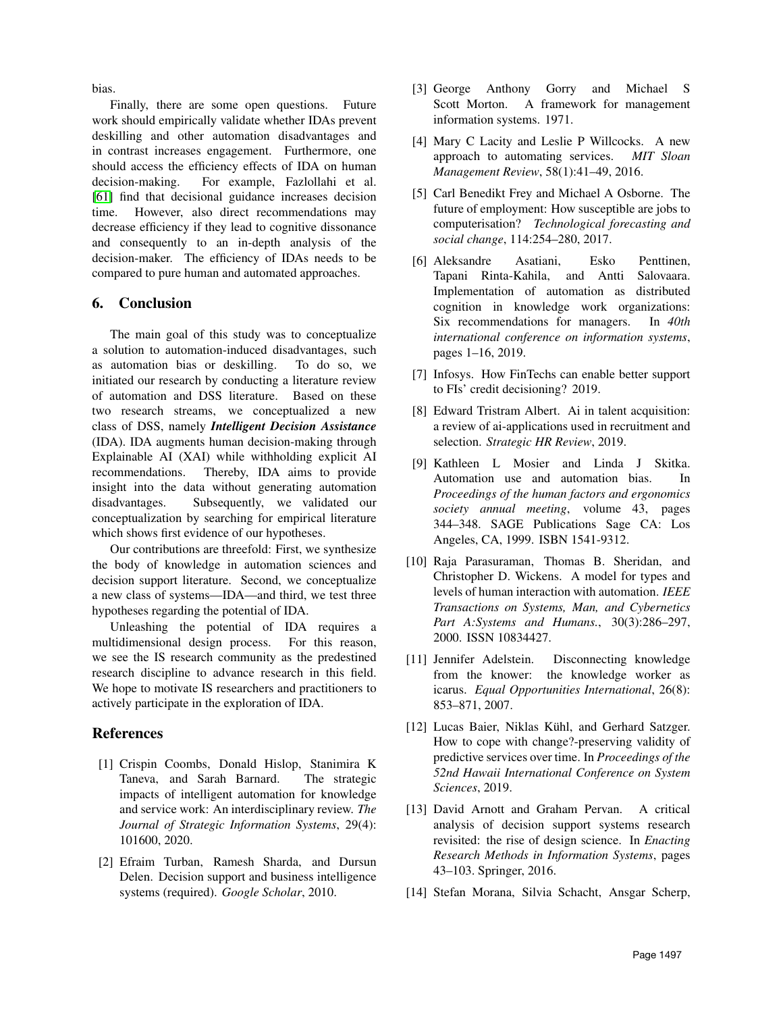bias.

Finally, there are some open questions. Future work should empirically validate whether IDAs prevent deskilling and other automation disadvantages and in contrast increases engagement. Furthermore, one should access the efficiency effects of IDA on human decision-making. For example, Fazlollahi et al. [\[61\]](#page-9-20) find that decisional guidance increases decision time. However, also direct recommendations may decrease efficiency if they lead to cognitive dissonance and consequently to an in-depth analysis of the decision-maker. The efficiency of IDAs needs to be compared to pure human and automated approaches.

### 6. Conclusion

The main goal of this study was to conceptualize a solution to automation-induced disadvantages, such as automation bias or deskilling. To do so, we initiated our research by conducting a literature review of automation and DSS literature. Based on these two research streams, we conceptualized a new class of DSS, namely *Intelligent Decision Assistance* (IDA). IDA augments human decision-making through Explainable AI (XAI) while withholding explicit AI recommendations. Thereby, IDA aims to provide insight into the data without generating automation disadvantages. Subsequently, we validated our conceptualization by searching for empirical literature which shows first evidence of our hypotheses.

Our contributions are threefold: First, we synthesize the body of knowledge in automation sciences and decision support literature. Second, we conceptualize a new class of systems—IDA—and third, we test three hypotheses regarding the potential of IDA.

Unleashing the potential of IDA requires a multidimensional design process. For this reason, we see the IS research community as the predestined research discipline to advance research in this field. We hope to motivate IS researchers and practitioners to actively participate in the exploration of IDA.

#### **References**

- <span id="page-7-0"></span>[1] Crispin Coombs, Donald Hislop, Stanimira K Taneva, and Sarah Barnard. The strategic impacts of intelligent automation for knowledge and service work: An interdisciplinary review. *The Journal of Strategic Information Systems*, 29(4): 101600, 2020.
- <span id="page-7-1"></span>[2] Efraim Turban, Ramesh Sharda, and Dursun Delen. Decision support and business intelligence systems (required). *Google Scholar*, 2010.
- <span id="page-7-2"></span>[3] George Anthony Gorry and Michael S Scott Morton. A framework for management information systems. 1971.
- <span id="page-7-3"></span>[4] Mary C Lacity and Leslie P Willcocks. A new approach to automating services. *MIT Sloan Management Review*, 58(1):41–49, 2016.
- <span id="page-7-4"></span>[5] Carl Benedikt Frey and Michael A Osborne. The future of employment: How susceptible are jobs to computerisation? *Technological forecasting and social change*, 114:254–280, 2017.
- <span id="page-7-5"></span>[6] Aleksandre Asatiani, Esko Penttinen, Tapani Rinta-Kahila, and Antti Salovaara. Implementation of automation as distributed cognition in knowledge work organizations: Six recommendations for managers. In *40th international conference on information systems*, pages 1–16, 2019.
- <span id="page-7-6"></span>[7] Infosys. How FinTechs can enable better support to FIs' credit decisioning? 2019.
- <span id="page-7-7"></span>[8] Edward Tristram Albert. Ai in talent acquisition: a review of ai-applications used in recruitment and selection. *Strategic HR Review*, 2019.
- <span id="page-7-8"></span>[9] Kathleen L Mosier and Linda J Skitka. Automation use and automation bias. In *Proceedings of the human factors and ergonomics society annual meeting*, volume 43, pages 344–348. SAGE Publications Sage CA: Los Angeles, CA, 1999. ISBN 1541-9312.
- <span id="page-7-9"></span>[10] Raja Parasuraman, Thomas B. Sheridan, and Christopher D. Wickens. A model for types and levels of human interaction with automation. *IEEE Transactions on Systems, Man, and Cybernetics Part A:Systems and Humans.*, 30(3):286–297, 2000. ISSN 10834427.
- <span id="page-7-10"></span>[11] Jennifer Adelstein. Disconnecting knowledge from the knower: the knowledge worker as icarus. *Equal Opportunities International*, 26(8): 853–871, 2007.
- <span id="page-7-11"></span>[12] Lucas Baier, Niklas Kühl, and Gerhard Satzger. How to cope with change?-preserving validity of predictive services over time. In *Proceedings of the 52nd Hawaii International Conference on System Sciences*, 2019.
- <span id="page-7-12"></span>[13] David Arnott and Graham Pervan. A critical analysis of decision support systems research revisited: the rise of design science. In *Enacting Research Methods in Information Systems*, pages 43–103. Springer, 2016.
- <span id="page-7-13"></span>[14] Stefan Morana, Silvia Schacht, Ansgar Scherp,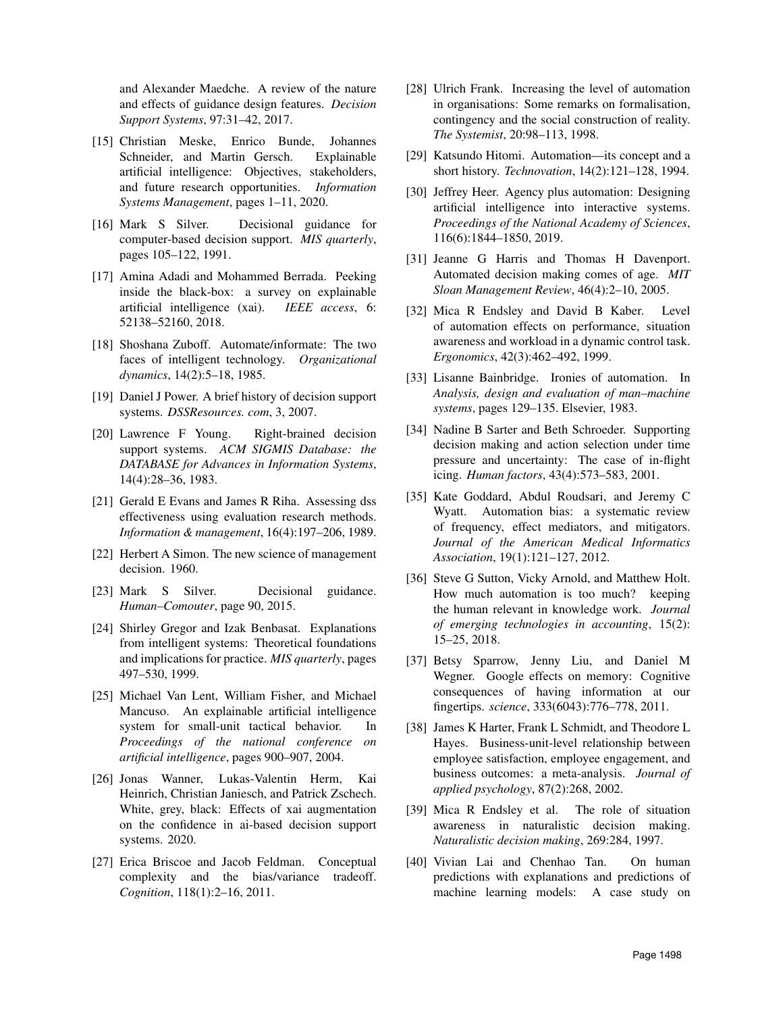and Alexander Maedche. A review of the nature and effects of guidance design features. *Decision Support Systems*, 97:31–42, 2017.

- <span id="page-8-0"></span>[15] Christian Meske, Enrico Bunde, Johannes Schneider, and Martin Gersch. Explainable artificial intelligence: Objectives, stakeholders, and future research opportunities. *Information Systems Management*, pages 1–11, 2020.
- <span id="page-8-1"></span>[16] Mark S Silver. Decisional guidance for computer-based decision support. *MIS quarterly*, pages 105–122, 1991.
- <span id="page-8-2"></span>[17] Amina Adadi and Mohammed Berrada. Peeking inside the black-box: a survey on explainable artificial intelligence (xai). *IEEE access*, 6: 52138–52160, 2018.
- <span id="page-8-3"></span>[18] Shoshana Zuboff. Automate/informate: The two faces of intelligent technology. *Organizational dynamics*, 14(2):5–18, 1985.
- <span id="page-8-4"></span>[19] Daniel J Power. A brief history of decision support systems. *DSSResources. com*, 3, 2007.
- <span id="page-8-5"></span>[20] Lawrence F Young. Right-brained decision support systems. *ACM SIGMIS Database: the DATABASE for Advances in Information Systems*, 14(4):28–36, 1983.
- <span id="page-8-6"></span>[21] Gerald E Evans and James R Riha. Assessing dss effectiveness using evaluation research methods. *Information & management*, 16(4):197–206, 1989.
- <span id="page-8-7"></span>[22] Herbert A Simon. The new science of management decision. 1960.
- <span id="page-8-8"></span>[23] Mark S Silver. Decisional guidance. *Human–Comouter*, page 90, 2015.
- <span id="page-8-9"></span>[24] Shirley Gregor and Izak Benbasat. Explanations from intelligent systems: Theoretical foundations and implications for practice. *MIS quarterly*, pages 497–530, 1999.
- <span id="page-8-10"></span>[25] Michael Van Lent, William Fisher, and Michael Mancuso. An explainable artificial intelligence system for small-unit tactical behavior. In *Proceedings of the national conference on artificial intelligence*, pages 900–907, 2004.
- <span id="page-8-11"></span>[26] Jonas Wanner, Lukas-Valentin Herm, Kai Heinrich, Christian Janiesch, and Patrick Zschech. White, grey, black: Effects of xai augmentation on the confidence in ai-based decision support systems. 2020.
- <span id="page-8-12"></span>[27] Erica Briscoe and Jacob Feldman. Conceptual complexity and the bias/variance tradeoff. *Cognition*, 118(1):2–16, 2011.
- <span id="page-8-13"></span>[28] Ulrich Frank. Increasing the level of automation in organisations: Some remarks on formalisation, contingency and the social construction of reality. *The Systemist*, 20:98–113, 1998.
- <span id="page-8-14"></span>[29] Katsundo Hitomi. Automation—its concept and a short history. *Technovation*, 14(2):121–128, 1994.
- <span id="page-8-15"></span>[30] Jeffrey Heer. Agency plus automation: Designing artificial intelligence into interactive systems. *Proceedings of the National Academy of Sciences*, 116(6):1844–1850, 2019.
- <span id="page-8-16"></span>[31] Jeanne G Harris and Thomas H Davenport. Automated decision making comes of age. *MIT Sloan Management Review*, 46(4):2–10, 2005.
- <span id="page-8-17"></span>[32] Mica R Endsley and David B Kaber. Level of automation effects on performance, situation awareness and workload in a dynamic control task. *Ergonomics*, 42(3):462–492, 1999.
- <span id="page-8-18"></span>[33] Lisanne Bainbridge. Ironies of automation. In *Analysis, design and evaluation of man–machine systems*, pages 129–135. Elsevier, 1983.
- <span id="page-8-19"></span>[34] Nadine B Sarter and Beth Schroeder. Supporting decision making and action selection under time pressure and uncertainty: The case of in-flight icing. *Human factors*, 43(4):573–583, 2001.
- <span id="page-8-20"></span>[35] Kate Goddard, Abdul Roudsari, and Jeremy C Wyatt. Automation bias: a systematic review of frequency, effect mediators, and mitigators. *Journal of the American Medical Informatics Association*, 19(1):121–127, 2012.
- <span id="page-8-21"></span>[36] Steve G Sutton, Vicky Arnold, and Matthew Holt. How much automation is too much? keeping the human relevant in knowledge work. *Journal of emerging technologies in accounting*, 15(2): 15–25, 2018.
- <span id="page-8-22"></span>[37] Betsy Sparrow, Jenny Liu, and Daniel M Wegner. Google effects on memory: Cognitive consequences of having information at our fingertips. *science*, 333(6043):776–778, 2011.
- <span id="page-8-23"></span>[38] James K Harter, Frank L Schmidt, and Theodore L Hayes. Business-unit-level relationship between employee satisfaction, employee engagement, and business outcomes: a meta-analysis. *Journal of applied psychology*, 87(2):268, 2002.
- <span id="page-8-24"></span>[39] Mica R Endsley et al. The role of situation awareness in naturalistic decision making. *Naturalistic decision making*, 269:284, 1997.
- <span id="page-8-25"></span>[40] Vivian Lai and Chenhao Tan. On human predictions with explanations and predictions of machine learning models: A case study on